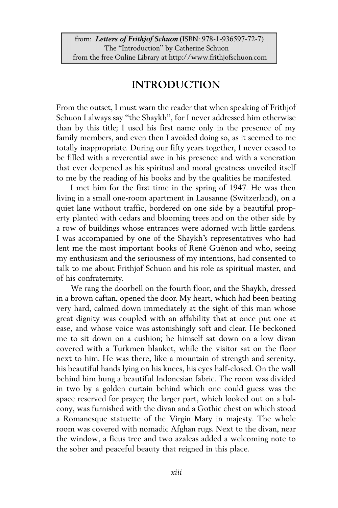# **INTRODUCTION**

From the outset, I must warn the reader that when speaking of Frithjof Schuon I always say "the Shaykh", for I never addressed him otherwise than by this title; I used his first name only in the presence of my family members, and even then I avoided doing so, as it seemed to me totally inappropriate. During our fifty years together, I never ceased to be filled with a reverential awe in his presence and with a veneration that ever deepened as his spiritual and moral greatness unveiled itself to me by the reading of his books and by the qualities he manifested.

I met him for the first time in the spring of 1947. He was then living in a small one-room apartment in Lausanne (Switzerland), on a quiet lane without traffic, bordered on one side by a beautiful property planted with cedars and blooming trees and on the other side by a row of buildings whose entrances were adorned with little gardens. I was accompanied by one of the Shaykh's representatives who had lent me the most important books of René Guénon and who, seeing my enthusiasm and the seriousness of my intentions, had consented to talk to me about Frithjof Schuon and his role as spiritual master, and of his confraternity.

We rang the doorbell on the fourth floor, and the Shaykh, dressed in a brown caftan, opened the door. My heart, which had been beating very hard, calmed down immediately at the sight of this man whose great dignity was coupled with an affability that at once put one at ease, and whose voice was astonishingly soft and clear. He beckoned me to sit down on a cushion; he himself sat down on a low divan covered with a Turkmen blanket, while the visitor sat on the floor next to him. He was there, like a mountain of strength and serenity, his beautiful hands lying on his knees, his eyes half-closed. On the wall

behind him hung a beautiful Indonesian fabric. The room was divided in two by a golden curtain behind which one could guess was the space reserved for prayer; the larger part, which looked out on a balcony, was furnished with the divan and a Gothic chest on which stood a Romanesque statuette of the Virgin Mary in majesty. The whole room was covered with nomadic Afghan rugs. Next to the divan, near the window, a ficus tree and two azaleas added a welcoming note to the sober and peaceful beauty that reigned in this place.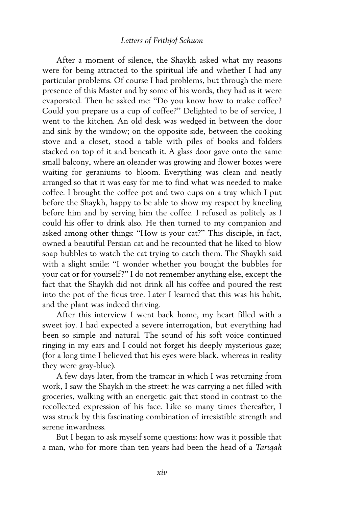After a moment of silence, the Shaykh asked what my reasons were for being attracted to the spiritual life and whether I had any particular problems. Of course I had problems, but through the mere presence of this Master and by some of his words, they had as it were evaporated. Then he asked me: "Do you know how to make coffee? Could you prepare us a cup of coffee?" Delighted to be of service, I went to the kitchen. An old desk was wedged in between the door and sink by the window; on the opposite side, between the cooking stove and a closet, stood a table with piles of books and folders stacked on top of it and beneath it. A glass door gave onto the same small balcony, where an oleander was growing and flower boxes were waiting for geraniums to bloom. Everything was clean and neatly arranged so that it was easy for me to find what was needed to make coffee. I brought the coffee pot and two cups on a tray which I put before the Shaykh, happy to be able to show my respect by kneeling before him and by serving him the coffee. I refused as politely as I could his offer to drink also. He then turned to my companion and asked among other things: "How is your cat?" This disciple, in fact, owned a beautiful Persian cat and he recounted that he liked to blow soap bubbles to watch the cat trying to catch them. The Shaykh said with a slight smile: "I wonder whether you bought the bubbles for your cat or for yourself?" I do not remember anything else, except the fact that the Shaykh did not drink all his coffee and poured the rest into the pot of the ficus tree. Later I learned that this was his habit, and the plant was indeed thriving.

After this interview I went back home, my heart filled with a sweet joy. I had expected a severe interrogation, but everything had been so simple and natural. The sound of his soft voice continued ringing in my ears and I could not forget his deeply mysterious gaze; (for a long time I believed that his eyes were black, whereas in reality they were gray-blue).

A few days later, from the tramcar in which I was returning from work, I saw the Shaykh in the street: he was carrying a net filled with groceries, walking with an energetic gait that stood in contrast to the recollected expression of his face. Like so many times thereafter, I was struck by this fascinating combination of irresistible strength and serene inwardness.

But I began to ask myself some questions: how was it possible that a man, who for more than ten years had been the head of a *Tarīqah*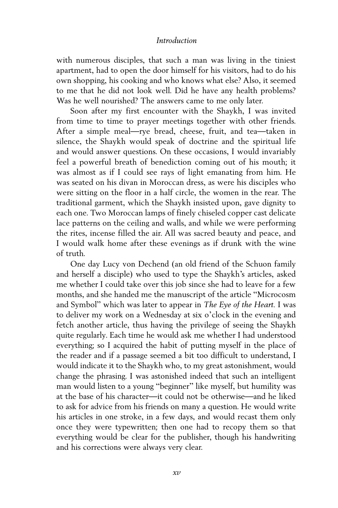with numerous disciples, that such a man was living in the tiniest apartment, had to open the door himself for his visitors, had to do his own shopping, his cooking and who knows what else? Also, it seemed to me that he did not look well. Did he have any health problems? Was he well nourished? The answers came to me only later.

Soon after my first encounter with the Shaykh, I was invited from time to time to prayer meetings together with other friends. After a simple meal—rye bread, cheese, fruit, and tea—taken in silence, the Shaykh would speak of doctrine and the spiritual life and would answer questions. On these occasions, I would invariably feel a powerful breath of benediction coming out of his mouth; it was almost as if I could see rays of light emanating from him. He was seated on his divan in Moroccan dress, as were his disciples who were sitting on the floor in a half circle, the women in the rear. The traditional garment, which the Shaykh insisted upon, gave dignity to each one. Two Moroccan lamps of finely chiseled copper cast delicate lace patterns on the ceiling and walls, and while we were performing the rites, incense filled the air. All was sacred beauty and peace, and I would walk home after these evenings as if drunk with the wine of truth.

One day Lucy von Dechend (an old friend of the Schuon family and herself a disciple) who used to type the Shaykh's articles, asked me whether I could take over this job since she had to leave for a few months, and she handed me the manuscript of the article "Microcosm and Symbol" which was later to appear in *The Eye of the Heart.* I was to deliver my work on a Wednesday at six o'clock in the evening and fetch another article, thus having the privilege of seeing the Shaykh quite regularly. Each time he would ask me whether I had understood everything; so I acquired the habit of putting myself in the place of the reader and if a passage seemed a bit too difficult to understand, I would indicate it to the Shaykh who, to my great astonishment, would change the phrasing. I was astonished indeed that such an intelligent man would listen to a young "beginner" like myself, but humility was at the base of his character—it could not be otherwise—and he liked to ask for advice from his friends on many a question. He would write his articles in one stroke, in a few days, and would recast them only once they were typewritten; then one had to recopy them so that everything would be clear for the publisher, though his handwriting and his corrections were always very clear.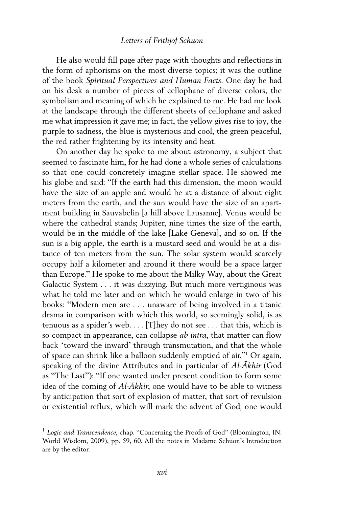He also would fill page after page with thoughts and reflections in the form of aphorisms on the most diverse topics; it was the outline of the book *Spiritual Perspectives and Human Facts.* One day he had on his desk a number of pieces of cellophane of diverse colors, the symbolism and meaning of which he explained to me. He had me look at the landscape through the different sheets of cellophane and asked me what impression it gave me; in fact, the yellow gives rise to joy, the purple to sadness, the blue is mysterious and cool, the green peaceful, the red rather frightening by its intensity and heat.

On another day he spoke to me about astronomy, a subject that seemed to fascinate him, for he had done a whole series of calculations so that one could concretely imagine stellar space. He showed me his globe and said: "If the earth had this dimension, the moon would have the size of an apple and would be at a distance of about eight meters from the earth, and the sun would have the size of an apartment building in Sauvabelin [a hill above Lausanne]. Venus would be where the cathedral stands; Jupiter, nine times the size of the earth, would be in the middle of the lake [Lake Geneva], and so on. If the sun is a big apple, the earth is a mustard seed and would be at a distance of ten meters from the sun. The solar system would scarcely occupy half a kilometer and around it there would be a space larger than Europe." He spoke to me about the Milky Way, about the Great Galactic System . . . it was dizzying. But much more vertiginous was what he told me later and on which he would enlarge in two of his books: "Modern men are . . . unaware of being involved in a titanic drama in comparison with which this world, so seemingly solid, is as tenuous as a spider's web. . . . [T]hey do not see . . . that this, which is so compact in appearance, can collapse *ab intra*, that matter can flow back 'toward the inward' through transmutation, and that the whole of space can shrink like a balloon suddenly emptied of air."1 Or again, speaking of the divine Attributes and in particular of *Al-Ākhir* (God as "The Last"): "If one wanted under present condition to form some idea of the coming of *Al-Ākhir*, one would have to be able to witness by anticipation that sort of explosion of matter, that sort of revulsion or existential reflux, which will mark the advent of God; one would

<sup>&</sup>lt;sup>1</sup> Logic and Transcendence, chap. "Concerning the Proofs of God" (Bloomington, IN: World Wisdom, 2009), pp. 59, 60. All the notes in Madame Schuon's Introduction are by the editor.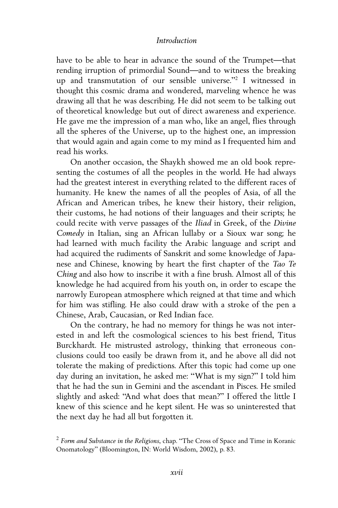have to be able to hear in advance the sound of the Trumpet—that rending irruption of primordial Sound—and to witness the breaking up and transmutation of our sensible universe."2 I witnessed in thought this cosmic drama and wondered, marveling whence he was drawing all that he was describing. He did not seem to be talking out of theoretical knowledge but out of direct awareness and experience. He gave me the impression of a man who, like an angel, flies through all the spheres of the Universe, up to the highest one, an impression that would again and again come to my mind as I frequented him and read his works.

On another occasion, the Shaykh showed me an old book representing the costumes of all the peoples in the world. He had always had the greatest interest in everything related to the different races of humanity. He knew the names of all the peoples of Asia, of all the African and American tribes, he knew their history, their religion, their customs, he had notions of their languages and their scripts; he could recite with verve passages of the *Iliad* in Greek, of the *Divine Comedy* in Italian, sing an African lullaby or a Sioux war song; he had learned with much facility the Arabic language and script and had acquired the rudiments of Sanskrit and some knowledge of Japanese and Chinese, knowing by heart the first chapter of the *Tao Te Ching* and also how to inscribe it with a fine brush. Almost all of this knowledge he had acquired from his youth on, in order to escape the narrowly European atmosphere which reigned at that time and which for him was stifling. He also could draw with a stroke of the pen a Chinese, Arab, Caucasian, or Red Indian face.

On the contrary, he had no memory for things he was not interested in and left the cosmological sciences to his best friend, Titus Burckhardt. He mistrusted astrology, thinking that erroneous conclusions could too easily be drawn from it, and he above all did not tolerate the making of predictions. After this topic had come up one day during an invitation, he asked me: "What is my sign?" I told him that he had the sun in Gemini and the ascendant in Pisces. He smiled slightly and asked: "And what does that mean?" I offered the little I knew of this science and he kept silent. He was so uninterested that the next day he had all but forgotten it.

<sup>2</sup>*Form and Substance in the Religions*, chap. "The Cross of Space and Time in Koranic Onomatology" (Bloomington, IN: World Wisdom, 2002), p. 83.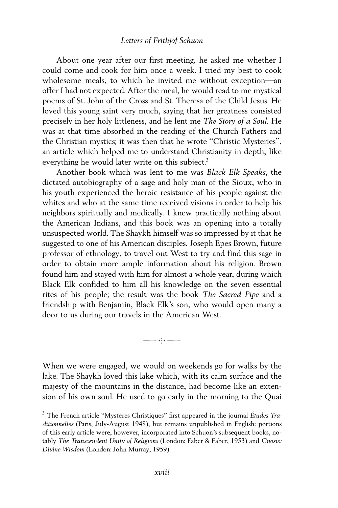About one year after our first meeting, he asked me whether I could come and cook for him once a week. I tried my best to cook wholesome meals, to which he invited me without exception—an offer I had not expected. After the meal, he would read to me mystical poems of St. John of the Cross and St. Theresa of the Child Jesus. He loved this young saint very much, saying that her greatness consisted precisely in her holy littleness, and he lent me *The Story of a Soul.* He was at that time absorbed in the reading of the Church Fathers and the Christian mystics; it was then that he wrote "Christic Mysteries", an article which helped me to understand Christianity in depth, like everything he would later write on this subject.<sup>3</sup>

Another book which was lent to me was *Black Elk Speaks*, the dictated autobiography of a sage and holy man of the Sioux, who in his youth experienced the heroic resistance of his people against the whites and who at the same time received visions in order to help his neighbors spiritually and medically. I knew practically nothing about the American Indians, and this book was an opening into a totally unsuspected world. The Shaykh himself was so impressed by it that he suggested to one of his American disciples, Joseph Epes Brown, future professor of ethnology, to travel out West to try and find this sage in order to obtain more ample information about his religion. Brown found him and stayed with him for almost a whole year, during which Black Elk confided to him all his knowledge on the seven essential rites of his people; the result was the book *The Sacred Pipe* and a friendship with Benjamin, Black Elk's son, who would open many a door to us during our travels in the American West.

 $-\div$ 

When we were engaged, we would on weekends go for walks by the lake. The Shaykh loved this lake which, with its calm surface and the majesty of the mountains in the distance, had become like an extension of his own soul. He used to go early in the morning to the Quai

<sup>3</sup>The French article "Mystères Christiques" first appeared in the journal *Études Traditionnelles* (Paris, July-August 1948), but remains unpublished in English; portions of this early article were, however, incorporated into Schuon's subsequent books, notably *The Transcendent Unity of Religions* (London: Faber & Faber, 1953) and *Gnosis: Divine Wisdom* (London: John Murray, 1959).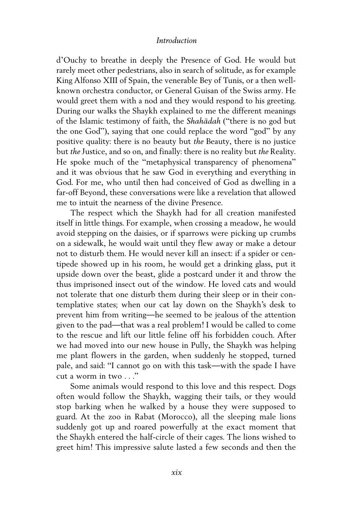d'Ouchy to breathe in deeply the Presence of God. He would but rarely meet other pedestrians, also in search of solitude, as for example King Alfonso XIII of Spain, the venerable Bey of Tunis, or a then wellknown orchestra conductor, or General Guisan of the Swiss army. He would greet them with a nod and they would respond to his greeting. During our walks the Shaykh explained to me the different meanings of the Islamic testimony of faith, the *Shahādah* ("there is no god but the one God"), saying that one could replace the word "god" by any positive quality: there is no beauty but *the* Beauty, there is no justice but *the* Justice, and so on, and finally: there is no reality but *the* Reality. He spoke much of the "metaphysical transparency of phenomena" and it was obvious that he saw God in everything and everything in God. For me, who until then had conceived of God as dwelling in a far-off Beyond, these conversations were like a revelation that allowed me to intuit the nearness of the divine Presence.

The respect which the Shaykh had for all creation manifested itself in little things. For example, when crossing a meadow, he would avoid stepping on the daisies, or if sparrows were picking up crumbs on a sidewalk, he would wait until they flew away or make a detour not to disturb them. He would never kill an insect: if a spider or centipede showed up in his room, he would get a drinking glass, put it upside down over the beast, glide a postcard under it and throw the thus imprisoned insect out of the window. He loved cats and would not tolerate that one disturb them during their sleep or in their contemplative states; when our cat lay down on the Shaykh's desk to prevent him from writing—he seemed to be jealous of the attention given to the pad—that was a real problem! I would be called to come to the rescue and lift our little feline off his forbidden couch. After we had moved into our new house in Pully, the Shaykh was helping me plant flowers in the garden, when suddenly he stopped, turned pale, and said: "I cannot go on with this task—with the spade I have cut a worm in two . . ."

Some animals would respond to this love and this respect. Dogs often would follow the Shaykh, wagging their tails, or they would stop barking when he walked by a house they were supposed to guard. At the zoo in Rabat (Morocco), all the sleeping male lions suddenly got up and roared powerfully at the exact moment that the Shaykh entered the half-circle of their cages. The lions wished to greet him! This impressive salute lasted a few seconds and then the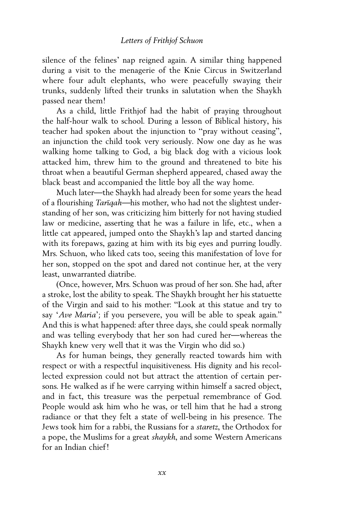silence of the felines' nap reigned again. A similar thing happened during a visit to the menagerie of the Knie Circus in Switzerland where four adult elephants, who were peacefully swaying their trunks, suddenly lifted their trunks in salutation when the Shaykh passed near them!

As a child, little Frithjof had the habit of praying throughout the half-hour walk to school. During a lesson of Biblical history, his teacher had spoken about the injunction to "pray without ceasing", an injunction the child took very seriously. Now one day as he was walking home talking to God, a big black dog with a vicious look attacked him, threw him to the ground and threatened to bite his throat when a beautiful German shepherd appeared, chased away the black beast and accompanied the little boy all the way home.

Much later—the Shaykh had already been for some years the head of a flourishing *Tarīqah—*his mother, who had not the slightest understanding of her son, was criticizing him bitterly for not having studied law or medicine, asserting that he was a failure in life, etc., when a little cat appeared, jumped onto the Shaykh's lap and started dancing with its forepaws, gazing at him with its big eyes and purring loudly. Mrs. Schuon, who liked cats too, seeing this manifestation of love for her son, stopped on the spot and dared not continue her, at the very least, unwarranted diatribe.

(Once, however, Mrs. Schuon was proud of her son. She had, after a stroke, lost the ability to speak. The Shaykh brought her his statuette of the Virgin and said to his mother: "Look at this statue and try to say '*Ave Maria*'; if you persevere, you will be able to speak again." And this is what happened: after three days, she could speak normally and was telling everybody that her son had cured her—whereas the Shaykh knew very well that it was the Virgin who did so.)

As for human beings, they generally reacted towards him with respect or with a respectful inquisitiveness. His dignity and his recollected expression could not but attract the attention of certain persons. He walked as if he were carrying within himself a sacred object, and in fact, this treasure was the perpetual remembrance of God. People would ask him who he was, or tell him that he had a strong radiance or that they felt a state of well-being in his presence. The Jews took him for a rabbi, the Russians for a *staretz*, the Orthodox for a pope, the Muslims for a great *shaykh*, and some Western Americans for an Indian chief!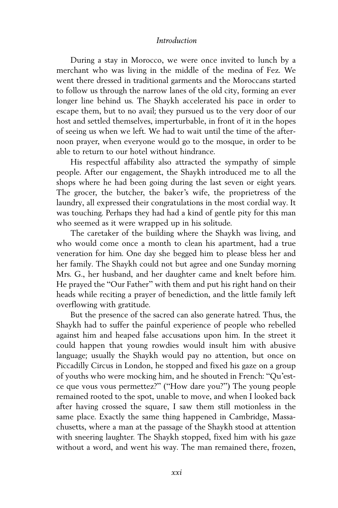During a stay in Morocco, we were once invited to lunch by a merchant who was living in the middle of the medina of Fez. We went there dressed in traditional garments and the Moroccans started to follow us through the narrow lanes of the old city, forming an ever longer line behind us. The Shaykh accelerated his pace in order to escape them, but to no avail; they pursued us to the very door of our host and settled themselves, imperturbable, in front of it in the hopes of seeing us when we left. We had to wait until the time of the afternoon prayer, when everyone would go to the mosque, in order to be able to return to our hotel without hindrance.

His respectful affability also attracted the sympathy of simple people. After our engagement, the Shaykh introduced me to all the shops where he had been going during the last seven or eight years. The grocer, the butcher, the baker's wife, the proprietress of the laundry, all expressed their congratulations in the most cordial way. It was touching. Perhaps they had had a kind of gentle pity for this man who seemed as it were wrapped up in his solitude.

The caretaker of the building where the Shaykh was living, and who would come once a month to clean his apartment, had a true veneration for him. One day she begged him to please bless her and her family. The Shaykh could not but agree and one Sunday morning Mrs. G., her husband, and her daughter came and knelt before him. He prayed the "Our Father" with them and put his right hand on their heads while reciting a prayer of benediction, and the little family left overflowing with gratitude.

But the presence of the sacred can also generate hatred. Thus, the Shaykh had to suffer the painful experience of people who rebelled against him and heaped false accusations upon him. In the street it could happen that young rowdies would insult him with abusive language; usually the Shaykh would pay no attention, but once on Piccadilly Circus in London, he stopped and fixed his gaze on a group of youths who were mocking him, and he shouted in French: "Qu'estce que vous vous permettez?" ("How dare you?") The young people remained rooted to the spot, unable to move, and when I looked back after having crossed the square, I saw them still motionless in the same place. Exactly the same thing happened in Cambridge, Massachusetts, where a man at the passage of the Shaykh stood at attention with sneering laughter. The Shaykh stopped, fixed him with his gaze without a word, and went his way. The man remained there, frozen,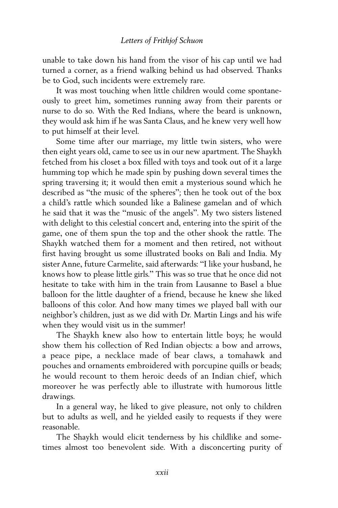unable to take down his hand from the visor of his cap until we had turned a corner, as a friend walking behind us had observed. Thanks be to God, such incidents were extremely rare.

It was most touching when little children would come spontaneously to greet him, sometimes running away from their parents or nurse to do so. With the Red Indians, where the beard is unknown, they would ask him if he was Santa Claus, and he knew very well how to put himself at their level.

Some time after our marriage, my little twin sisters, who were then eight years old, came to see us in our new apartment. The Shaykh fetched from his closet a box filled with toys and took out of it a large humming top which he made spin by pushing down several times the spring traversing it; it would then emit a mysterious sound which he described as "the music of the spheres"; then he took out of the box a child's rattle which sounded like a Balinese gamelan and of which he said that it was the "music of the angels". My two sisters listened with delight to this celestial concert and, entering into the spirit of the game, one of them spun the top and the other shook the rattle. The Shaykh watched them for a moment and then retired, not without first having brought us some illustrated books on Bali and India. My sister Anne, future Carmelite, said afterwards: "I like your husband, he knows how to please little girls." This was so true that he once did not hesitate to take with him in the train from Lausanne to Basel a blue balloon for the little daughter of a friend, because he knew she liked balloons of this color. And how many times we played ball with our neighbor's children, just as we did with Dr. Martin Lings and his wife when they would visit us in the summer!

The Shaykh knew also how to entertain little boys; he would show them his collection of Red Indian objects: a bow and arrows, a peace pipe, a necklace made of bear claws, a tomahawk and pouches and ornaments embroidered with porcupine quills or beads; he would recount to them heroic deeds of an Indian chief, which moreover he was perfectly able to illustrate with humorous little drawings.

In a general way, he liked to give pleasure, not only to children but to adults as well, and he yielded easily to requests if they were reasonable.

The Shaykh would elicit tenderness by his childlike and sometimes almost too benevolent side. With a disconcerting purity of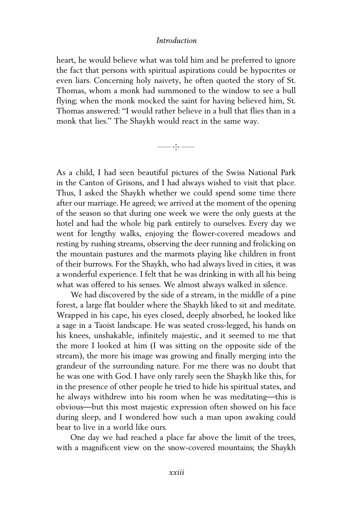heart, he would believe what was told him and he preferred to ignore the fact that persons with spiritual aspirations could be hypocrites or even liars. Concerning holy naivety, he often quoted the story of St. Thomas, whom a monk had summoned to the window to see a bull flying; when the monk mocked the saint for having believed him, St. Thomas answered: "I would rather believe in a bull that flies than in a monk that lies." The Shaykh would react in the same way.

 $-\div$ 

As a child, I had seen beautiful pictures of the Swiss National Park in the Canton of Grisons, and I had always wished to visit that place. Thus, I asked the Shaykh whether we could spend some time there after our marriage. He agreed; we arrived at the moment of the opening of the season so that during one week we were the only guests at the hotel and had the whole big park entirely to ourselves. Every day we went for lengthy walks, enjoying the flower-covered meadows and resting by rushing streams, observing the deer running and frolicking on the mountain pastures and the marmots playing like children in front of their burrows. For the Shaykh, who had always lived in cities, it was a wonderful experience. I felt that he was drinking in with all his being what was offered to his senses. We almost always walked in silence.

We had discovered by the side of a stream, in the middle of a pine forest, a large flat boulder where the Shaykh liked to sit and meditate. Wrapped in his cape, his eyes closed, deeply absorbed, he looked like a sage in a Taoist landscape. He was seated cross-legged, his hands on his knees, unshakable, infinitely majestic, and it seemed to me that the more I looked at him (I was sitting on the opposite side of the stream), the more his image was growing and finally merging into the grandeur of the surrounding nature. For me there was no doubt that he was one with God. I have only rarely seen the Shaykh like this, for in the presence of other people he tried to hide his spiritual states, and he always withdrew into his room when he was meditating—this is obvious—but this most majestic expression often showed on his face during sleep, and I wondered how such a man upon awaking could bear to live in a world like ours.

One day we had reached a place far above the limit of the trees, with a magnificent view on the snow-covered mountains; the Shaykh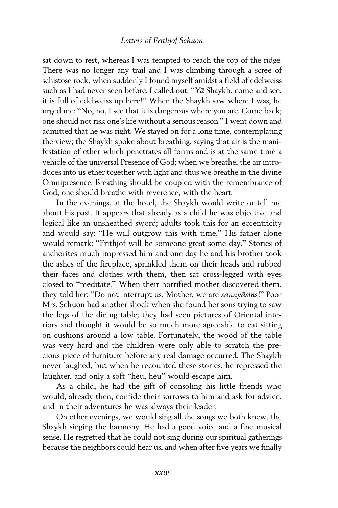sat down to rest, whereas I was tempted to reach the top of the ridge. There was no longer any trail and I was climbing through a scree of schistose rock, when suddenly I found myself amidst a field of edelweiss such as I had never seen before. I called out: "*Yā* Shaykh, come and see, it is full of edelweiss up here!" When the Shaykh saw where I was, he urged me: "No, no, I see that it is dangerous where you are. Come back; one should not risk one's life without a serious reason." I went down and admitted that he was right. We stayed on for a long time, contemplating the view; the Shaykh spoke about breathing, saying that air is the manifestation of ether which penetrates all forms and is at the same time a vehicle of the universal Presence of God; when we breathe, the air introduces into us ether together with light and thus we breathe in the divine Omnipresence. Breathing should be coupled with the remembrance of God, one should breathe with reverence, with the heart.

In the evenings, at the hotel, the Shaykh would write or tell me about his past. It appears that already as a child he was objective and logical like an unsheathed sword; adults took this for an eccentricity and would say: "He will outgrow this with time." His father alone would remark: "Frithjof will be someone great some day." Stories of anchorites much impressed him and one day he and his brother took the ashes of the fireplace, sprinkled them on their heads and rubbed their faces and clothes with them, then sat cross-legged with eyes closed to "meditate." When their horrified mother discovered them, they told her: "Do not interrupt us, Mother, we are *sannyāsin*s!" Poor Mrs. Schuon had another shock when she found her sons trying to saw the legs of the dining table; they had seen pictures of Oriental interiors and thought it would be so much more agreeable to eat sitting on cushions around a low table. Fortunately, the wood of the table was very hard and the children were only able to scratch the precious piece of furniture before any real damage occurred. The Shaykh never laughed, but when he recounted these stories, he repressed the laughter, and only a soft "heu, heu" would escape him.

As a child, he had the gift of consoling his little friends who would, already then, confide their sorrows to him and ask for advice, and in their adventures he was always their leader.

On other evenings, we would sing all the songs we both knew, the Shaykh singing the harmony. He had a good voice and a fine musical sense. He regretted that he could not sing during our spiritual gatherings because the neighbors could hear us, and when after five years we finally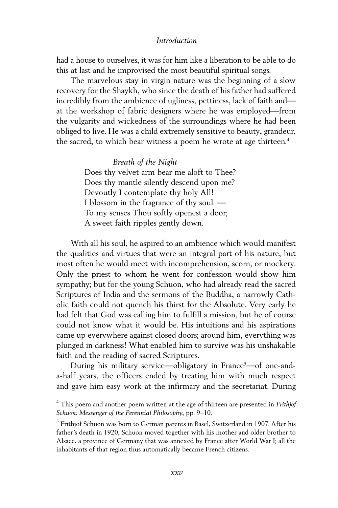had a house to ourselves, it was for him like a liberation to be able to do this at last and he improvised the most beautiful spiritual songs.

The marvelous stay in virgin nature was the beginning of a slow recovery for the Shaykh, who since the death of his father had suffered incredibly from the ambience of ugliness, pettiness, lack of faith and at the workshop of fabric designers where he was employed—from the vulgarity and wickedness of the surroundings where he had been obliged to live. He was a child extremely sensitive to beauty, grandeur, the sacred, to which bear witness a poem he wrote at age thirteen.<sup>4</sup>

#### *Breath of the Night*

Does thy velvet arm bear me aloft to Thee? Does thy mantle silently descend upon me? Devoutly I contemplate thy holy All! I blossom in the fragrance of thy soul. — To my senses Thou softly openest a door; A sweet faith ripples gently down.

With all his soul, he aspired to an ambience which would manifest the qualities and virtues that were an integral part of his nature, but most often he would meet with incomprehension, scorn, or mockery. Only the priest to whom he went for confession would show him sympathy; but for the young Schuon, who had already read the sacred Scriptures of India and the sermons of the Buddha, a narrowly Catholic faith could not quench his thirst for the Absolute. Very early he had felt that God was calling him to fulfill a mission, but he of course could not know what it would be. His intuitions and his aspirations came up everywhere against closed doors; around him, everything was plunged in darkness! What enabled him to survive was his unshakable faith and the reading of sacred Scriptures.

During his military service—obligatory in France<sup>5</sup>—of one-anda-half years, the officers ended by treating him with much respect and gave him easy work at the infirmary and the secretariat. During

<sup>4</sup> This poem and another poem written at the age of thirteen are presented in *Frithjof Schuon: Messenger of the Perennial Philosophy*, pp. 9–10.

<sup>&</sup>lt;sup>5</sup> Frithjof Schuon was born to German parents in Basel, Switzerland in 1907. After his father's death in 1920, Schuon moved together with his mother and older brother to Alsace, a province of Germany that was annexed by France after World War I; all the inhabitants of that region thus automatically became French citizens.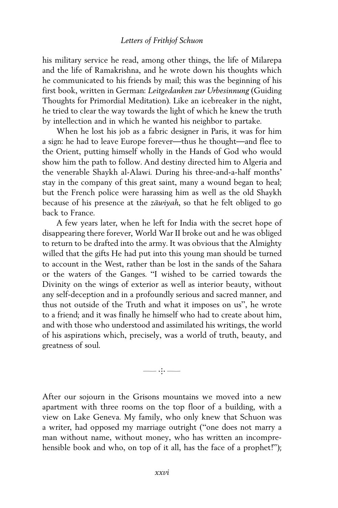his military service he read, among other things, the life of Milarepa and the life of Ramakrishna, and he wrote down his thoughts which he communicated to his friends by mail; this was the beginning of his first book, written in German: *Leitgedanken zur Urbesinnung* (Guiding Thoughts for Primordial Meditation). Like an icebreaker in the night, he tried to clear the way towards the light of which he knew the truth by intellection and in which he wanted his neighbor to partake.

When he lost his job as a fabric designer in Paris, it was for him a sign: he had to leave Europe forever—thus he thought—and flee to the Orient, putting himself wholly in the Hands of God who would show him the path to follow. And destiny directed him to Algeria and the venerable Shaykh al-Alawi. During his three-and-a-half months' stay in the company of this great saint, many a wound began to heal; but the French police were harassing him as well as the old Shaykh because of his presence at the *zāwiyah*, so that he felt obliged to go back to France.

A few years later, when he left for India with the secret hope of disappearing there forever, World War II broke out and he was obliged to return to be drafted into the army. It was obvious that the Almighty willed that the gifts He had put into this young man should be turned to account in the West, rather than be lost in the sands of the Sahara or the waters of the Ganges. "I wished to be carried towards the Divinity on the wings of exterior as well as interior beauty, without any self-deception and in a profoundly serious and sacred manner, and thus not outside of the Truth and what it imposes on us", he wrote to a friend; and it was finally he himself who had to create about him, and with those who understood and assimilated his writings, the world of his aspirations which, precisely, was a world of truth, beauty, and greatness of soul.

 $-\div$ 

After our sojourn in the Grisons mountains we moved into a new apartment with three rooms on the top floor of a building, with a view on Lake Geneva. My family, who only knew that Schuon was a writer, had opposed my marriage outright ("one does not marry a man without name, without money, who has written an incomprehensible book and who, on top of it all, has the face of a prophet!");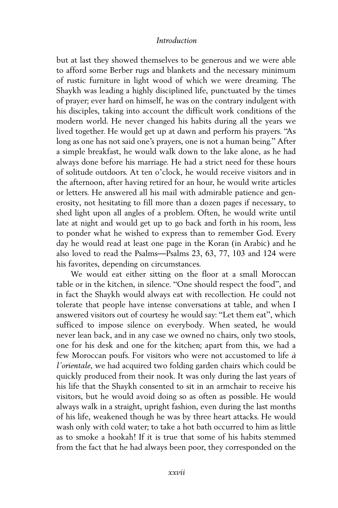but at last they showed themselves to be generous and we were able to afford some Berber rugs and blankets and the necessary minimum of rustic furniture in light wood of which we were dreaming. The Shaykh was leading a highly disciplined life, punctuated by the times of prayer; ever hard on himself, he was on the contrary indulgent with his disciples, taking into account the difficult work conditions of the modern world. He never changed his habits during all the years we lived together. He would get up at dawn and perform his prayers. "As long as one has not said one's prayers, one is not a human being." After a simple breakfast, he would walk down to the lake alone, as he had always done before his marriage. He had a strict need for these hours of solitude outdoors. At ten o'clock, he would receive visitors and in the afternoon, after having retired for an hour, he would write articles or letters. He answered all his mail with admirable patience and generosity, not hesitating to fill more than a dozen pages if necessary, to shed light upon all angles of a problem. Often, he would write until late at night and would get up to go back and forth in his room, less to ponder what he wished to express than to remember God. Every day he would read at least one page in the Koran (in Arabic) and he also loved to read the Psalms—Psalms 23, 63, 77, 103 and 124 were his favorites, depending on circumstances.

We would eat either sitting on the floor at a small Moroccan table or in the kitchen, in silence. "One should respect the food", and in fact the Shaykh would always eat with recollection. He could not tolerate that people have intense conversations at table, and when I answered visitors out of courtesy he would say: "Let them eat", which sufficed to impose silence on everybody. When seated, he would never lean back, and in any case we owned no chairs, only two stools, one for his desk and one for the kitchen; apart from this, we had a few Moroccan poufs. For visitors who were not accustomed to life *à l'orientale*, we had acquired two folding garden chairs which could be quickly produced from their nook. It was only during the last years of his life that the Shaykh consented to sit in an armchair to receive his visitors, but he would avoid doing so as often as possible. He would always walk in a straight, upright fashion, even during the last months of his life, weakened though he was by three heart attacks. He would wash only with cold water; to take a hot bath occurred to him as little as to smoke a hookah! If it is true that some of his habits stemmed from the fact that he had always been poor, they corresponded on the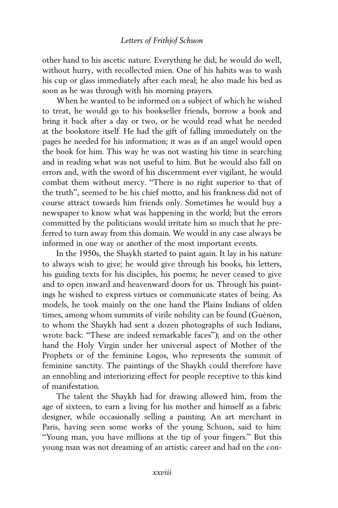other hand to his ascetic nature. Everything he did, he would do well, without hurry, with recollected mien. One of his habits was to wash his cup or glass immediately after each meal; he also made his bed as soon as he was through with his morning prayers.

When he wanted to be informed on a subject of which he wished to treat, he would go to his bookseller friends, borrow a book and bring it back after a day or two, or he would read what he needed at the bookstore itself. He had the gift of falling immediately on the pages he needed for his information; it was as if an angel would open the book for him. This way he was not wasting his time in searching and in reading what was not useful to him. But he would also fall on errors and, with the sword of his discernment ever vigilant, he would combat them without mercy. "There is no right superior to that of the truth", seemed to be his chief motto, and his frankness did not of course attract towards him friends only. Sometimes he would buy a newspaper to know what was happening in the world; but the errors committed by the politicians would irritate him so much that he preferred to turn away from this domain. We would in any case always be informed in one way or another of the most important events.

In the 1950s, the Shaykh started to paint again. It lay in his nature to always wish to give; he would give through his books, his letters, his guiding texts for his disciples, his poems; he never ceased to give and to open inward and heavenward doors for us. Through his paintings he wished to express virtues or communicate states of being. As models, he took mainly on the one hand the Plains Indians of olden times, among whom summits of virile nobility can be found (Guénon, to whom the Shaykh had sent a dozen photographs of such Indians, wrote back: "These are indeed remarkable faces"); and on the other hand the Holy Virgin under her universal aspect of Mother of the Prophets or of the feminine Logos, who represents the summit of feminine sanctity. The paintings of the Shaykh could therefore have an ennobling and interiorizing effect for people receptive to this kind of manifestation.

The talent the Shaykh had for drawing allowed him, from the age of sixteen, to earn a living for his mother and himself as a fabric designer, while occasionally selling a painting. An art merchant in Paris, having seen some works of the young Schuon, said to him: "Young man, you have millions at the tip of your fingers." But this young man was not dreaming of an artistic career and had on the con-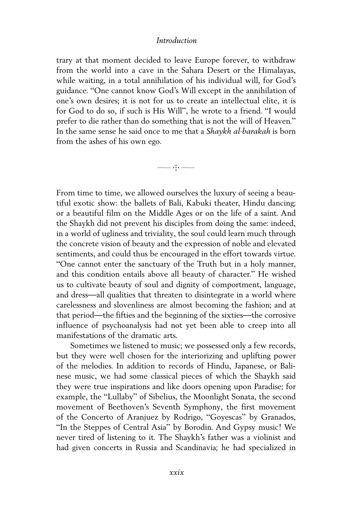trary at that moment decided to leave Europe forever, to withdraw from the world into a cave in the Sahara Desert or the Himalayas, while waiting, in a total annihilation of his individual will, for God's guidance. "One cannot know God's Will except in the annihilation of one's own desires; it is not for us to create an intellectual elite, it is for God to do so, if such is His Will", he wrote to a friend. "I would prefer to die rather than do something that is not the will of Heaven." In the same sense he said once to me that a *Shaykh al-barakah* is born from the ashes of his own ego.

 $-\div$ 

From time to time, we allowed ourselves the luxury of seeing a beautiful exotic show: the ballets of Bali, Kabuki theater, Hindu dancing; or a beautiful film on the Middle Ages or on the life of a saint. And the Shaykh did not prevent his disciples from doing the same: indeed, in a world of ugliness and triviality, the soul could learn much through the concrete vision of beauty and the expression of noble and elevated sentiments, and could thus be encouraged in the effort towards virtue. "One cannot enter the sanctuary of the Truth but in a holy manner, and this condition entails above all beauty of character." He wished us to cultivate beauty of soul and dignity of comportment, language, and dress—all qualities that threaten to disintegrate in a world where carelessness and slovenliness are almost becoming the fashion; and at that period—the fifties and the beginning of the sixties—the corrosive influence of psychoanalysis had not yet been able to creep into all manifestations of the dramatic arts.

Sometimes we listened to music; we possessed only a few records, but they were well chosen for the interiorizing and uplifting power of the melodies. In addition to records of Hindu, Japanese, or Balinese music, we had some classical pieces of which the Shaykh said they were true inspirations and like doors opening upon Paradise; for example, the "Lullaby" of Sibelius, the Moonlight Sonata, the second movement of Beethoven's Seventh Symphony, the first movement of the Concerto of Aranjuez by Rodrigo, "Goyescas" by Granados, "In the Steppes of Central Asia" by Borodin. And Gypsy music! We never tired of listening to it. The Shaykh's father was a violinist and had given concerts in Russia and Scandinavia; he had specialized in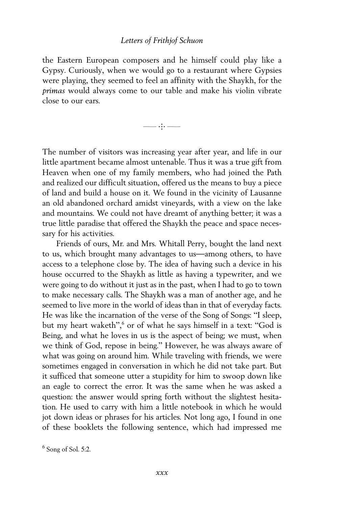the Eastern European composers and he himself could play like a Gypsy. Curiously, when we would go to a restaurant where Gypsies were playing, they seemed to feel an affinity with the Shaykh, for the *primas* would always come to our table and make his violin vibrate close to our ears.

 $-\div$ 

The number of visitors was increasing year after year, and life in our little apartment became almost untenable. Thus it was a true gift from Heaven when one of my family members, who had joined the Path and realized our difficult situation, offered us the means to buy a piece of land and build a house on it. We found in the vicinity of Lausanne an old abandoned orchard amidst vineyards, with a view on the lake and mountains. We could not have dreamt of anything better; it was a true little paradise that offered the Shaykh the peace and space necessary for his activities.

Friends of ours, Mr. and Mrs. Whitall Perry, bought the land next to us, which brought many advantages to us—among others, to have access to a telephone close by. The idea of having such a device in his house occurred to the Shaykh as little as having a typewriter, and we were going to do without it just as in the past, when I had to go to town to make necessary calls. The Shaykh was a man of another age, and he seemed to live more in the world of ideas than in that of everyday facts. He was like the incarnation of the verse of the Song of Songs: "I sleep, but my heart waketh",<sup>6</sup> or of what he says himself in a text: "God is Being, and what he loves in us is the aspect of being; we must, when we think of God, repose in being." However, he was always aware of what was going on around him. While traveling with friends, we were sometimes engaged in conversation in which he did not take part. But it sufficed that someone utter a stupidity for him to swoop down like an eagle to correct the error. It was the same when he was asked a question: the answer would spring forth without the slightest hesitation. He used to carry with him a little notebook in which he would jot down ideas or phrases for his articles. Not long ago, I found in one of these booklets the following sentence, which had impressed me

 $<sup>6</sup>$  Song of Sol. 5:2.</sup>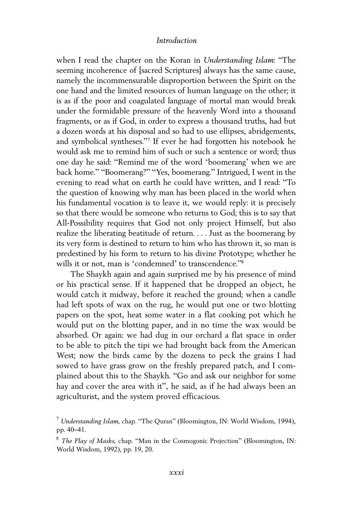when I read the chapter on the Koran in *Understanding Islam*: "The seeming incoherence of [sacred Scriptures] always has the same cause, namely the incommensurable disproportion between the Spirit on the one hand and the limited resources of human language on the other; it is as if the poor and coagulated language of mortal man would break under the formidable pressure of the heavenly Word into a thousand fragments, or as if God, in order to express a thousand truths, had but a dozen words at his disposal and so had to use ellipses, abridgements, and symbolical syntheses."7 If ever he had forgotten his notebook he would ask me to remind him of such or such a sentence or word; thus one day he said: "Remind me of the word 'boomerang' when we are back home." "Boomerang?" "Yes, boomerang." Intrigued, I went in the evening to read what on earth he could have written, and I read: "To the question of knowing why man has been placed in the world when his fundamental vocation is to leave it, we would reply: it is precisely so that there would be someone who returns to God; this is to say that All-Possibility requires that God not only project Himself, but also realize the liberating beatitude of return. . . . Just as the boomerang by its very form is destined to return to him who has thrown it, so man is predestined by his form to return to his divine Prototype; whether he wills it or not, man is 'condemned' to transcendence."<sup>8</sup>

The Shaykh again and again surprised me by his presence of mind or his practical sense. If it happened that he dropped an object, he would catch it midway, before it reached the ground; when a candle had left spots of wax on the rug, he would put one or two blotting papers on the spot, heat some water in a flat cooking pot which he would put on the blotting paper, and in no time the wax would be absorbed. Or again: we had dug in our orchard a flat space in order to be able to pitch the tipi we had brought back from the American West; now the birds came by the dozens to peck the grains I had sowed to have grass grow on the freshly prepared patch, and I complained about this to the Shaykh. "Go and ask our neighbor for some hay and cover the area with it", he said, as if he had always been an agriculturist, and the system proved efficacious.

<sup>7</sup>*Understanding Islam*, chap. "The Quran" (Bloomington, IN: World Wisdom, 1994), pp. 40–41.

<sup>8</sup>*The Play of Masks*, chap. "Man in the Cosmogonic Projection" (Bloomington, IN: World Wisdom, 1992), pp. 19, 20.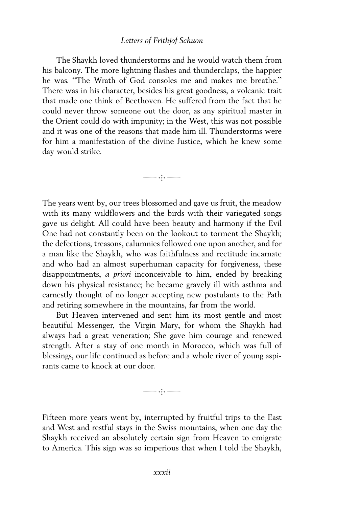The Shaykh loved thunderstorms and he would watch them from his balcony. The more lightning flashes and thunderclaps, the happier he was. "The Wrath of God consoles me and makes me breathe." There was in his character, besides his great goodness, a volcanic trait that made one think of Beethoven. He suffered from the fact that he could never throw someone out the door, as any spiritual master in the Orient could do with impunity; in the West, this was not possible and it was one of the reasons that made him ill. Thunderstorms were for him a manifestation of the divine Justice, which he knew some day would strike.

 $-\div$ 

The years went by, our trees blossomed and gave us fruit, the meadow with its many wildflowers and the birds with their variegated songs gave us delight. All could have been beauty and harmony if the Evil One had not constantly been on the lookout to torment the Shaykh; the defections, treasons, calumnies followed one upon another, and for a man like the Shaykh, who was faithfulness and rectitude incarnate and who had an almost superhuman capacity for forgiveness, these disappointments, *a priori* inconceivable to him, ended by breaking down his physical resistance; he became gravely ill with asthma and earnestly thought of no longer accepting new postulants to the Path and retiring somewhere in the mountains, far from the world.

But Heaven intervened and sent him its most gentle and most beautiful Messenger, the Virgin Mary, for whom the Shaykh had always had a great veneration; She gave him courage and renewed strength. After a stay of one month in Morocco, which was full of blessings, our life continued as before and a whole river of young aspirants came to knock at our door.

 $-\div$ 

Fifteen more years went by, interrupted by fruitful trips to the East and West and restful stays in the Swiss mountains, when one day the Shaykh received an absolutely certain sign from Heaven to emigrate to America. This sign was so imperious that when I told the Shaykh,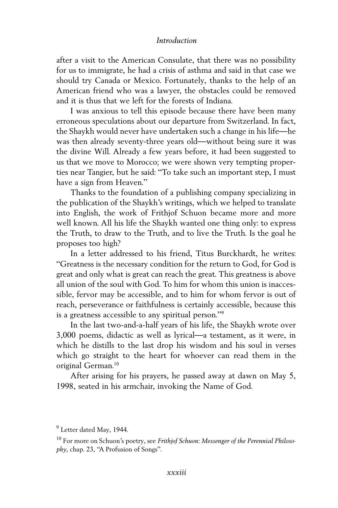after a visit to the American Consulate, that there was no possibility for us to immigrate, he had a crisis of asthma and said in that case we should try Canada or Mexico. Fortunately, thanks to the help of an American friend who was a lawyer, the obstacles could be removed and it is thus that we left for the forests of Indiana.

I was anxious to tell this episode because there have been many erroneous speculations about our departure from Switzerland. In fact, the Shaykh would never have undertaken such a change in his life—he was then already seventy-three years old—without being sure it was the divine Will. Already a few years before, it had been suggested to us that we move to Morocco; we were shown very tempting properties near Tangier, but he said: "To take such an important step, I must have a sign from Heaven."

Thanks to the foundation of a publishing company specializing in the publication of the Shaykh's writings, which we helped to translate into English, the work of Frithjof Schuon became more and more well known. All his life the Shaykh wanted one thing only: to express the Truth, to draw to the Truth, and to live the Truth. Is the goal he proposes too high?

In a letter addressed to his friend, Titus Burckhardt, he writes: "Greatness is the necessary condition for the return to God, for God is great and only what is great can reach the great. This greatness is above all union of the soul with God. To him for whom this union is inaccessible, fervor may be accessible, and to him for whom fervor is out of reach, perseverance or faithfulness is certainly accessible, because this is a greatness accessible to any spiritual person."9

In the last two-and-a-half years of his life, the Shaykh wrote over 3,000 poems, didactic as well as lyrical—a testament, as it were, in which he distills to the last drop his wisdom and his soul in verses which go straight to the heart for whoever can read them in the original German.10

After arising for his prayers, he passed away at dawn on May 5, 1998, seated in his armchair, invoking the Name of God.

 $9$  Letter dated May, 1944.

<sup>10</sup> For more on Schuon's poetry, see *Frithjof Schuon: Messenger of the Perennial Philosophy*, chap. 23, "A Profusion of Songs".